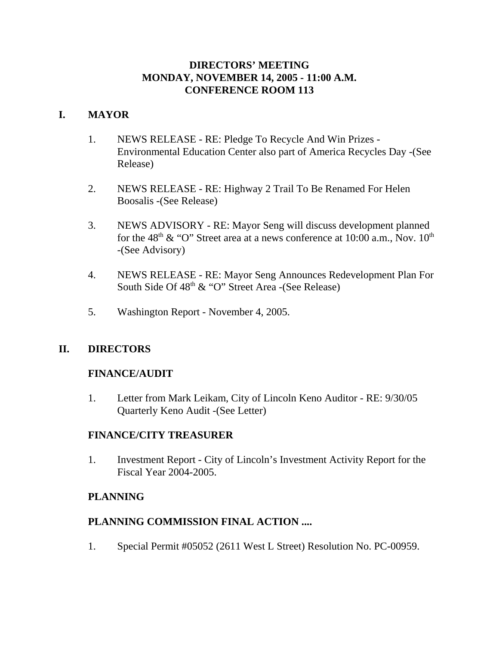## **DIRECTORS' MEETING MONDAY, NOVEMBER 14, 2005 - 11:00 A.M. CONFERENCE ROOM 113**

## **I. MAYOR**

- 1. NEWS RELEASE RE: Pledge To Recycle And Win Prizes Environmental Education Center also part of America Recycles Day -(See Release)
- 2. NEWS RELEASE RE: Highway 2 Trail To Be Renamed For Helen Boosalis -(See Release)
- 3. NEWS ADVISORY RE: Mayor Seng will discuss development planned for the 48<sup>th</sup> & "O" Street area at a news conference at 10:00 a.m., Nov.  $10^{th}$ -(See Advisory)
- 4. NEWS RELEASE RE: Mayor Seng Announces Redevelopment Plan For South Side Of  $48<sup>th</sup>$  & "O" Street Area -(See Release)
- 5. Washington Report November 4, 2005.

# **II. DIRECTORS**

## **FINANCE/AUDIT**

1. Letter from Mark Leikam, City of Lincoln Keno Auditor - RE: 9/30/05 Quarterly Keno Audit -(See Letter)

## **FINANCE/CITY TREASURER**

1. Investment Report - City of Lincoln's Investment Activity Report for the Fiscal Year 2004-2005.

# **PLANNING**

## **PLANNING COMMISSION FINAL ACTION ....**

1. Special Permit #05052 (2611 West L Street) Resolution No. PC-00959.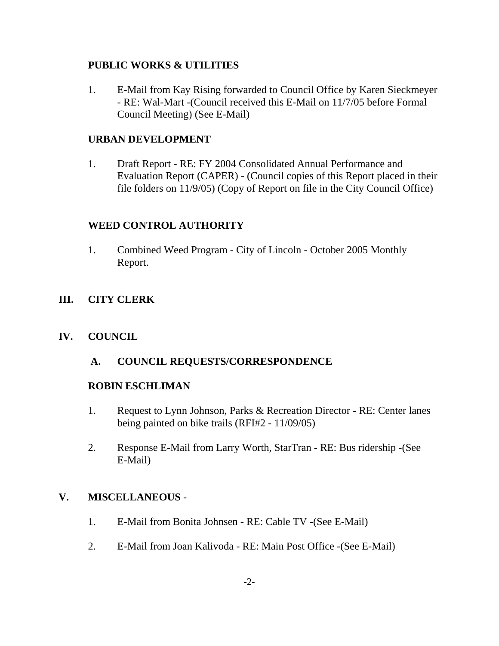## **PUBLIC WORKS & UTILITIES**

1. E-Mail from Kay Rising forwarded to Council Office by Karen Sieckmeyer - RE: Wal-Mart -(Council received this E-Mail on 11/7/05 before Formal Council Meeting) (See E-Mail)

## **URBAN DEVELOPMENT**

1. Draft Report - RE: FY 2004 Consolidated Annual Performance and Evaluation Report (CAPER) - (Council copies of this Report placed in their file folders on 11/9/05) (Copy of Report on file in the City Council Office)

# **WEED CONTROL AUTHORITY**

1. Combined Weed Program - City of Lincoln - October 2005 Monthly Report.

# **III. CITY CLERK**

# **IV. COUNCIL**

 **A. COUNCIL REQUESTS/CORRESPONDENCE** 

# **ROBIN ESCHLIMAN**

- 1. Request to Lynn Johnson, Parks & Recreation Director RE: Center lanes being painted on bike trails (RFI#2 - 11/09/05)
- 2. Response E-Mail from Larry Worth, StarTran RE: Bus ridership -(See E-Mail)

# **V. MISCELLANEOUS** -

- 1. E-Mail from Bonita Johnsen RE: Cable TV -(See E-Mail)
- 2. E-Mail from Joan Kalivoda RE: Main Post Office -(See E-Mail)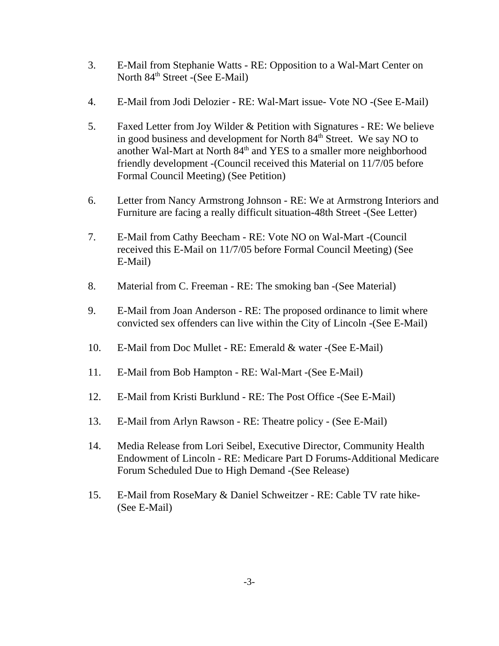- 3. E-Mail from Stephanie Watts RE: Opposition to a Wal-Mart Center on North 84<sup>th</sup> Street -(See E-Mail)
- 4. E-Mail from Jodi Delozier RE: Wal-Mart issue- Vote NO -(See E-Mail)
- 5. Faxed Letter from Joy Wilder & Petition with Signatures RE: We believe in good business and development for North 84<sup>th</sup> Street. We say NO to another Wal-Mart at North 84<sup>th</sup> and YES to a smaller more neighborhood friendly development -(Council received this Material on 11/7/05 before Formal Council Meeting) (See Petition)
- 6. Letter from Nancy Armstrong Johnson RE: We at Armstrong Interiors and Furniture are facing a really difficult situation-48th Street -(See Letter)
- 7. E-Mail from Cathy Beecham RE: Vote NO on Wal-Mart -(Council received this E-Mail on 11/7/05 before Formal Council Meeting) (See E-Mail)
- 8. Material from C. Freeman RE: The smoking ban -(See Material)
- 9. E-Mail from Joan Anderson RE: The proposed ordinance to limit where convicted sex offenders can live within the City of Lincoln -(See E-Mail)
- 10. E-Mail from Doc Mullet RE: Emerald & water -(See E-Mail)
- 11. E-Mail from Bob Hampton RE: Wal-Mart -(See E-Mail)
- 12. E-Mail from Kristi Burklund RE: The Post Office -(See E-Mail)
- 13. E-Mail from Arlyn Rawson RE: Theatre policy (See E-Mail)
- 14. Media Release from Lori Seibel, Executive Director, Community Health Endowment of Lincoln - RE: Medicare Part D Forums-Additional Medicare Forum Scheduled Due to High Demand -(See Release)
- 15. E-Mail from RoseMary & Daniel Schweitzer RE: Cable TV rate hike- (See E-Mail)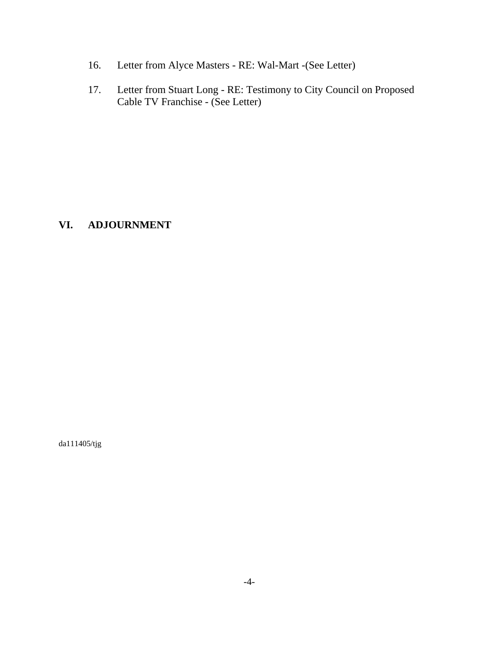- 16. Letter from Alyce Masters RE: Wal-Mart -(See Letter)
- 17. Letter from Stuart Long RE: Testimony to City Council on Proposed Cable TV Franchise - (See Letter)

## **VI. ADJOURNMENT**

da111405/tjg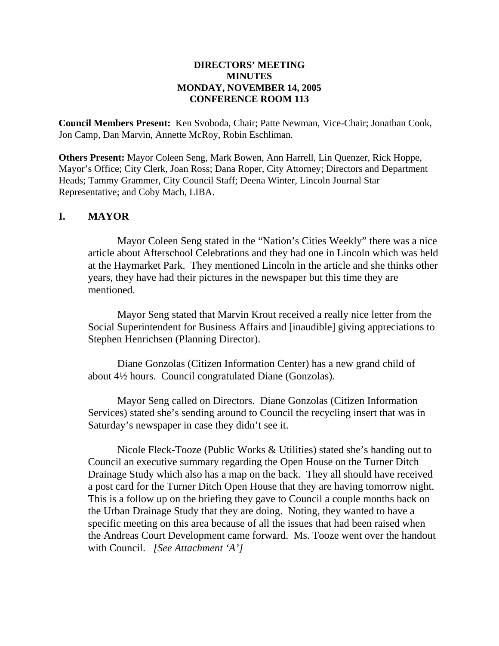### **DIRECTORS' MEETING MINUTES MONDAY, NOVEMBER 14, 2005 CONFERENCE ROOM 113**

**Council Members Present:** Ken Svoboda, Chair; Patte Newman, Vice-Chair; Jonathan Cook, Jon Camp, Dan Marvin, Annette McRoy, Robin Eschliman.

**Others Present:** Mayor Coleen Seng, Mark Bowen, Ann Harrell, Lin Quenzer, Rick Hoppe, Mayor's Office; City Clerk, Joan Ross; Dana Roper, City Attorney; Directors and Department Heads; Tammy Grammer, City Council Staff; Deena Winter, Lincoln Journal Star Representative; and Coby Mach, LIBA.

### **I. MAYOR**

Mayor Coleen Seng stated in the "Nation's Cities Weekly" there was a nice article about Afterschool Celebrations and they had one in Lincoln which was held at the Haymarket Park. They mentioned Lincoln in the article and she thinks other years, they have had their pictures in the newspaper but this time they are mentioned.

Mayor Seng stated that Marvin Krout received a really nice letter from the Social Superintendent for Business Affairs and [inaudible] giving appreciations to Stephen Henrichsen (Planning Director).

Diane Gonzolas (Citizen Information Center) has a new grand child of about 4½ hours. Council congratulated Diane (Gonzolas).

Mayor Seng called on Directors. Diane Gonzolas (Citizen Information Services) stated she's sending around to Council the recycling insert that was in Saturday's newspaper in case they didn't see it.

Nicole Fleck-Tooze (Public Works & Utilities) stated she's handing out to Council an executive summary regarding the Open House on the Turner Ditch Drainage Study which also has a map on the back. They all should have received a post card for the Turner Ditch Open House that they are having tomorrow night. This is a follow up on the briefing they gave to Council a couple months back on the Urban Drainage Study that they are doing. Noting, they wanted to have a specific meeting on this area because of all the issues that had been raised when the Andreas Court Development came forward. Ms. Tooze went over the handout with Council. *[See Attachment 'A']*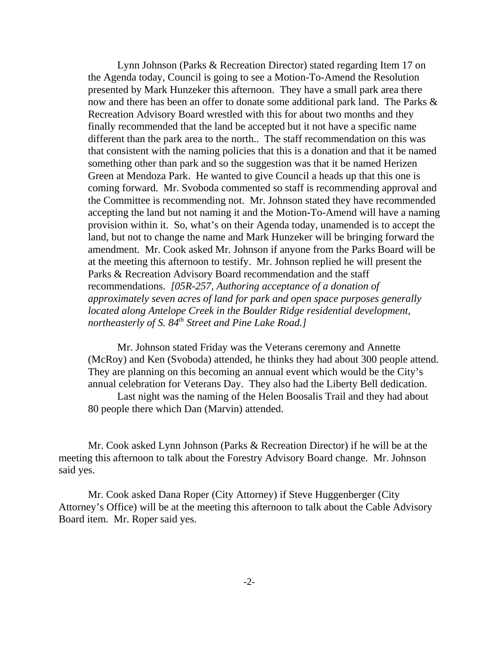Lynn Johnson (Parks & Recreation Director) stated regarding Item 17 on the Agenda today, Council is going to see a Motion-To-Amend the Resolution presented by Mark Hunzeker this afternoon. They have a small park area there now and there has been an offer to donate some additional park land. The Parks & Recreation Advisory Board wrestled with this for about two months and they finally recommended that the land be accepted but it not have a specific name different than the park area to the north.. The staff recommendation on this was that consistent with the naming policies that this is a donation and that it be named something other than park and so the suggestion was that it be named Herizen Green at Mendoza Park. He wanted to give Council a heads up that this one is coming forward. Mr. Svoboda commented so staff is recommending approval and the Committee is recommending not. Mr. Johnson stated they have recommended accepting the land but not naming it and the Motion-To-Amend will have a naming provision within it. So, what's on their Agenda today, unamended is to accept the land, but not to change the name and Mark Hunzeker will be bringing forward the amendment. Mr. Cook asked Mr. Johnson if anyone from the Parks Board will be at the meeting this afternoon to testify. Mr. Johnson replied he will present the Parks & Recreation Advisory Board recommendation and the staff recommendations. *[05R-257, Authoring acceptance of a donation of approximately seven acres of land for park and open space purposes generally located along Antelope Creek in the Boulder Ridge residential development, northeasterly of S. 84<sup>th</sup> Street and Pine Lake Road.]* 

Mr. Johnson stated Friday was the Veterans ceremony and Annette (McRoy) and Ken (Svoboda) attended, he thinks they had about 300 people attend. They are planning on this becoming an annual event which would be the City's annual celebration for Veterans Day. They also had the Liberty Bell dedication.

Last night was the naming of the Helen Boosalis Trail and they had about 80 people there which Dan (Marvin) attended.

Mr. Cook asked Lynn Johnson (Parks & Recreation Director) if he will be at the meeting this afternoon to talk about the Forestry Advisory Board change. Mr. Johnson said yes.

Mr. Cook asked Dana Roper (City Attorney) if Steve Huggenberger (City Attorney's Office) will be at the meeting this afternoon to talk about the Cable Advisory Board item. Mr. Roper said yes.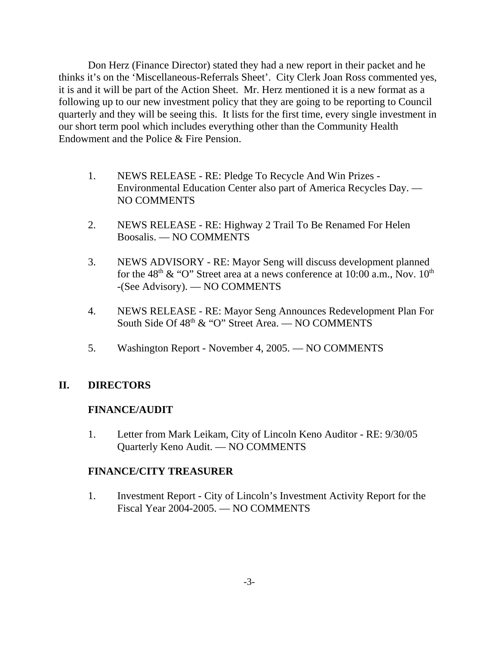Don Herz (Finance Director) stated they had a new report in their packet and he thinks it's on the 'Miscellaneous-Referrals Sheet'. City Clerk Joan Ross commented yes, it is and it will be part of the Action Sheet. Mr. Herz mentioned it is a new format as a following up to our new investment policy that they are going to be reporting to Council quarterly and they will be seeing this. It lists for the first time, every single investment in our short term pool which includes everything other than the Community Health Endowment and the Police & Fire Pension.

- 1. NEWS RELEASE RE: Pledge To Recycle And Win Prizes Environmental Education Center also part of America Recycles Day. — NO COMMENTS
- 2. NEWS RELEASE RE: Highway 2 Trail To Be Renamed For Helen Boosalis. — NO COMMENTS
- 3. NEWS ADVISORY RE: Mayor Seng will discuss development planned for the 48<sup>th</sup> & "O" Street area at a news conference at 10:00 a.m., Nov.  $10^{th}$ -(See Advisory). — NO COMMENTS
- 4. NEWS RELEASE RE: Mayor Seng Announces Redevelopment Plan For South Side Of 48<sup>th</sup> & "O" Street Area. — NO COMMENTS
- 5. Washington Report November 4, 2005. NO COMMENTS

## **II. DIRECTORS**

## **FINANCE/AUDIT**

1. Letter from Mark Leikam, City of Lincoln Keno Auditor - RE: 9/30/05 Quarterly Keno Audit. — NO COMMENTS

## **FINANCE/CITY TREASURER**

1. Investment Report - City of Lincoln's Investment Activity Report for the Fiscal Year 2004-2005. — NO COMMENTS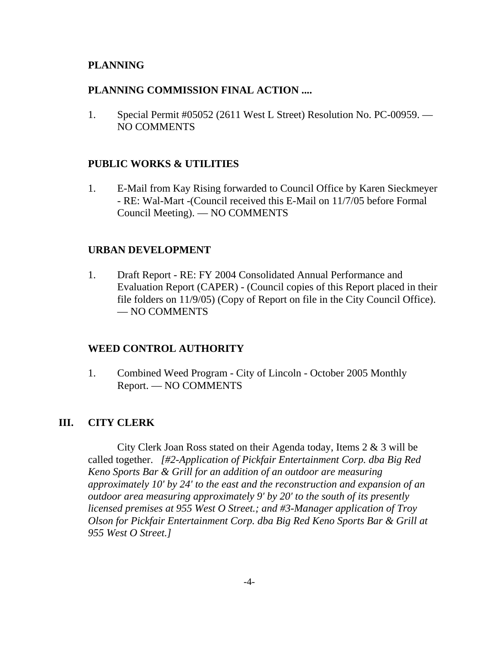### **PLANNING**

#### **PLANNING COMMISSION FINAL ACTION ....**

1. Special Permit #05052 (2611 West L Street) Resolution No. PC-00959. — NO COMMENTS

### **PUBLIC WORKS & UTILITIES**

1. E-Mail from Kay Rising forwarded to Council Office by Karen Sieckmeyer - RE: Wal-Mart -(Council received this E-Mail on 11/7/05 before Formal Council Meeting). — NO COMMENTS

### **URBAN DEVELOPMENT**

1. Draft Report - RE: FY 2004 Consolidated Annual Performance and Evaluation Report (CAPER) - (Council copies of this Report placed in their file folders on 11/9/05) (Copy of Report on file in the City Council Office). — NO COMMENTS

### **WEED CONTROL AUTHORITY**

1. Combined Weed Program - City of Lincoln - October 2005 Monthly Report. — NO COMMENTS

### **III. CITY CLERK**

City Clerk Joan Ross stated on their Agenda today, Items 2 & 3 will be called together. *[#2-Application of Pickfair Entertainment Corp. dba Big Red Keno Sports Bar & Grill for an addition of an outdoor are measuring approximately 10' by 24' to the east and the reconstruction and expansion of an outdoor area measuring approximately 9' by 20' to the south of its presently licensed premises at 955 West O Street.; and #3-Manager application of Troy Olson for Pickfair Entertainment Corp. dba Big Red Keno Sports Bar & Grill at 955 West O Street.]*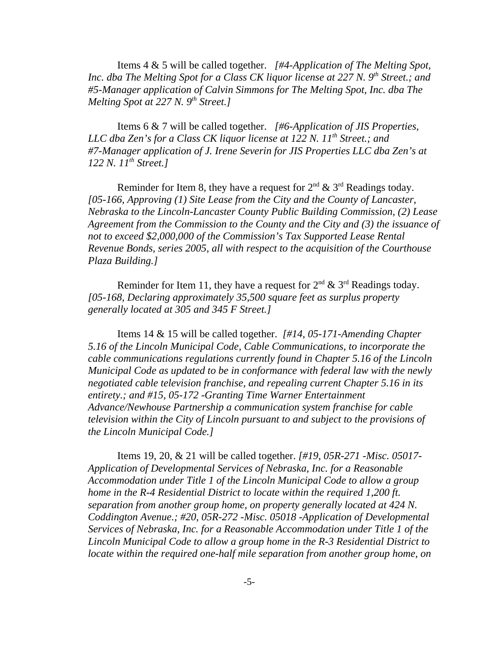Items 4 & 5 will be called together. *[#4-Application of The Melting Spot, Inc. dba The Melting Spot for a Class CK liquor license at 227 N. 9<sup>th</sup> Street.; and #5-Manager application of Calvin Simmons for The Melting Spot, Inc. dba The Melting Spot at 227 N. 9<sup>th</sup> Street.]* 

Items 6 & 7 will be called together. *[#6-Application of JIS Properties, LLC dba Zen's for a Class CK liquor license at 122 N. 11<sup>th</sup> Street.; and #7-Manager application of J. Irene Severin for JIS Properties LLC dba Zen's at 122 N. 11th Street.]* 

Reminder for Item 8, they have a request for  $2<sup>nd</sup> \& 3<sup>rd</sup>$  Readings today. *[05-166, Approving (1) Site Lease from the City and the County of Lancaster, Nebraska to the Lincoln-Lancaster County Public Building Commission, (2) Lease Agreement from the Commission to the County and the City and (3) the issuance of not to exceed \$2,000,000 of the Commission's Tax Supported Lease Rental Revenue Bonds, series 2005, all with respect to the acquisition of the Courthouse Plaza Building.]* 

Reminder for Item 11, they have a request for  $2<sup>nd</sup>$  &  $3<sup>rd</sup>$  Readings today. *[05-168, Declaring approximately 35,500 square feet as surplus property generally located at 305 and 345 F Street.]* 

Items 14 & 15 will be called together. *[#14, 05-171-Amending Chapter 5.16 of the Lincoln Municipal Code, Cable Communications, to incorporate the cable communications regulations currently found in Chapter 5.16 of the Lincoln Municipal Code as updated to be in conformance with federal law with the newly negotiated cable television franchise, and repealing current Chapter 5.16 in its entirety.; and #15, 05-172 -Granting Time Warner Entertainment Advance/Newhouse Partnership a communication system franchise for cable television within the City of Lincoln pursuant to and subject to the provisions of the Lincoln Municipal Code.]*

Items 19, 20, & 21 will be called together. *[#19, 05R-271 -Misc. 05017- Application of Developmental Services of Nebraska, Inc. for a Reasonable Accommodation under Title 1 of the Lincoln Municipal Code to allow a group home in the R-4 Residential District to locate within the required 1,200 ft. separation from another group home, on property generally located at 424 N. Coddington Avenue.; #20, 05R-272 -Misc. 05018 -Application of Developmental Services of Nebraska, Inc. for a Reasonable Accommodation under Title 1 of the Lincoln Municipal Code to allow a group home in the R-3 Residential District to locate within the required one-half mile separation from another group home, on*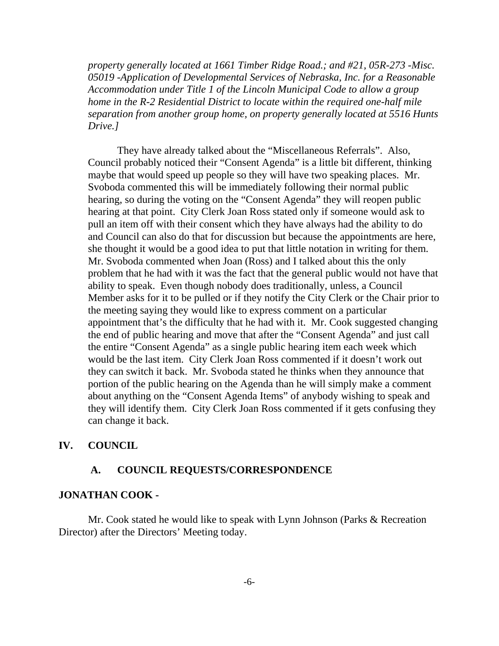*property generally located at 1661 Timber Ridge Road.; and #21, 05R-273 -Misc. 05019 -Application of Developmental Services of Nebraska, Inc. for a Reasonable Accommodation under Title 1 of the Lincoln Municipal Code to allow a group home in the R-2 Residential District to locate within the required one-half mile separation from another group home, on property generally located at 5516 Hunts Drive.]*

They have already talked about the "Miscellaneous Referrals". Also, Council probably noticed their "Consent Agenda" is a little bit different, thinking maybe that would speed up people so they will have two speaking places. Mr. Svoboda commented this will be immediately following their normal public hearing, so during the voting on the "Consent Agenda" they will reopen public hearing at that point. City Clerk Joan Ross stated only if someone would ask to pull an item off with their consent which they have always had the ability to do and Council can also do that for discussion but because the appointments are here, she thought it would be a good idea to put that little notation in writing for them. Mr. Svoboda commented when Joan (Ross) and I talked about this the only problem that he had with it was the fact that the general public would not have that ability to speak. Even though nobody does traditionally, unless, a Council Member asks for it to be pulled or if they notify the City Clerk or the Chair prior to the meeting saying they would like to express comment on a particular appointment that's the difficulty that he had with it. Mr. Cook suggested changing the end of public hearing and move that after the "Consent Agenda" and just call the entire "Consent Agenda" as a single public hearing item each week which would be the last item. City Clerk Joan Ross commented if it doesn't work out they can switch it back. Mr. Svoboda stated he thinks when they announce that portion of the public hearing on the Agenda than he will simply make a comment about anything on the "Consent Agenda Items" of anybody wishing to speak and they will identify them. City Clerk Joan Ross commented if it gets confusing they can change it back.

### **IV. COUNCIL**

#### **A. COUNCIL REQUESTS/CORRESPONDENCE**

#### **JONATHAN COOK -**

Mr. Cook stated he would like to speak with Lynn Johnson (Parks & Recreation Director) after the Directors' Meeting today.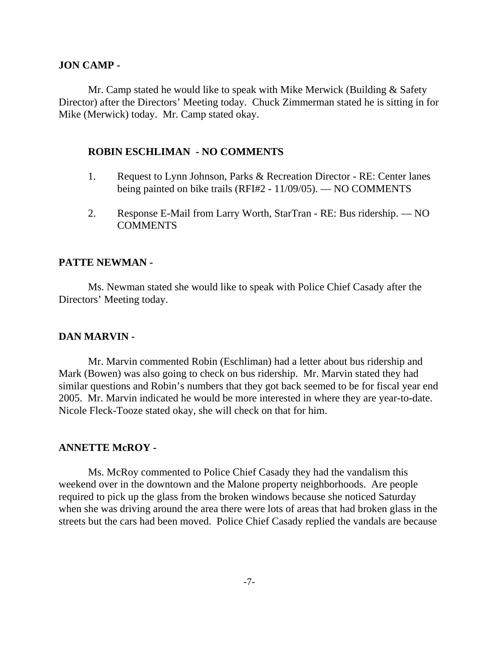#### **JON CAMP -**

Mr. Camp stated he would like to speak with Mike Merwick (Building & Safety Director) after the Directors' Meeting today. Chuck Zimmerman stated he is sitting in for Mike (Merwick) today. Mr. Camp stated okay.

#### **ROBIN ESCHLIMAN - NO COMMENTS**

- 1. Request to Lynn Johnson, Parks & Recreation Director RE: Center lanes being painted on bike trails (RFI#2 - 11/09/05). — NO COMMENTS
- 2. Response E-Mail from Larry Worth, StarTran RE: Bus ridership. NO **COMMENTS**

#### **PATTE NEWMAN -**

Ms. Newman stated she would like to speak with Police Chief Casady after the Directors' Meeting today.

#### **DAN MARVIN -**

Mr. Marvin commented Robin (Eschliman) had a letter about bus ridership and Mark (Bowen) was also going to check on bus ridership. Mr. Marvin stated they had similar questions and Robin's numbers that they got back seemed to be for fiscal year end 2005. Mr. Marvin indicated he would be more interested in where they are year-to-date. Nicole Fleck-Tooze stated okay, she will check on that for him.

#### **ANNETTE McROY -**

Ms. McRoy commented to Police Chief Casady they had the vandalism this weekend over in the downtown and the Malone property neighborhoods. Are people required to pick up the glass from the broken windows because she noticed Saturday when she was driving around the area there were lots of areas that had broken glass in the streets but the cars had been moved. Police Chief Casady replied the vandals are because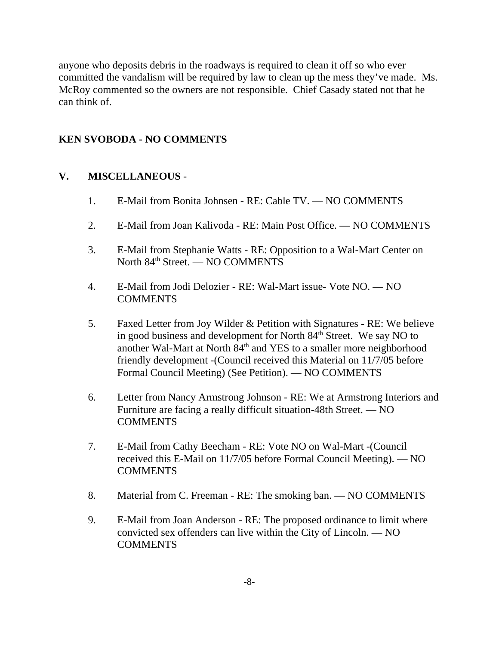anyone who deposits debris in the roadways is required to clean it off so who ever committed the vandalism will be required by law to clean up the mess they've made. Ms. McRoy commented so the owners are not responsible. Chief Casady stated not that he can think of.

## **KEN SVOBODA - NO COMMENTS**

## **V. MISCELLANEOUS** -

- 1. E-Mail from Bonita Johnsen RE: Cable TV. NO COMMENTS
- 2. E-Mail from Joan Kalivoda RE: Main Post Office. NO COMMENTS
- 3. E-Mail from Stephanie Watts RE: Opposition to a Wal-Mart Center on North 84<sup>th</sup> Street. — NO COMMENTS
- 4. E-Mail from Jodi Delozier RE: Wal-Mart issue- Vote NO. NO COMMENTS
- 5. Faxed Letter from Joy Wilder & Petition with Signatures RE: We believe in good business and development for North 84<sup>th</sup> Street. We say NO to another Wal-Mart at North 84<sup>th</sup> and YES to a smaller more neighborhood friendly development -(Council received this Material on 11/7/05 before Formal Council Meeting) (See Petition). — NO COMMENTS
- 6. Letter from Nancy Armstrong Johnson RE: We at Armstrong Interiors and Furniture are facing a really difficult situation-48th Street. — NO COMMENTS
- 7. E-Mail from Cathy Beecham RE: Vote NO on Wal-Mart -(Council received this E-Mail on 11/7/05 before Formal Council Meeting). — NO **COMMENTS**
- 8. Material from C. Freeman RE: The smoking ban. NO COMMENTS
- 9. E-Mail from Joan Anderson RE: The proposed ordinance to limit where convicted sex offenders can live within the City of Lincoln. — NO **COMMENTS**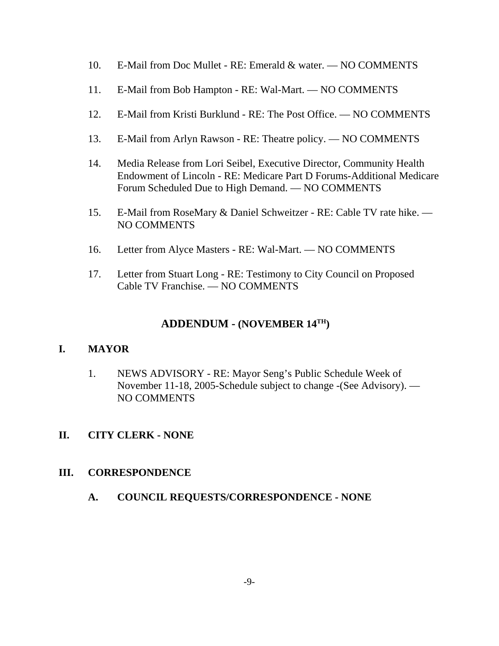- 10. E-Mail from Doc Mullet RE: Emerald & water. NO COMMENTS
- 11. E-Mail from Bob Hampton RE: Wal-Mart. NO COMMENTS
- 12. E-Mail from Kristi Burklund RE: The Post Office. NO COMMENTS
- 13. E-Mail from Arlyn Rawson RE: Theatre policy. NO COMMENTS
- 14. Media Release from Lori Seibel, Executive Director, Community Health Endowment of Lincoln - RE: Medicare Part D Forums-Additional Medicare Forum Scheduled Due to High Demand. — NO COMMENTS
- 15. E-Mail from RoseMary & Daniel Schweitzer RE: Cable TV rate hike. NO COMMENTS
- 16. Letter from Alyce Masters RE: Wal-Mart. NO COMMENTS
- 17. Letter from Stuart Long RE: Testimony to City Council on Proposed Cable TV Franchise. — NO COMMENTS

# **ADDENDUM - (NOVEMBER 14TH)**

# **I. MAYOR**

- 1. NEWS ADVISORY RE: Mayor Seng's Public Schedule Week of November 11-18, 2005-Schedule subject to change -(See Advisory). — NO COMMENTS
- **II. CITY CLERK NONE**

## **III. CORRESPONDENCE**

**A. COUNCIL REQUESTS/CORRESPONDENCE - NONE**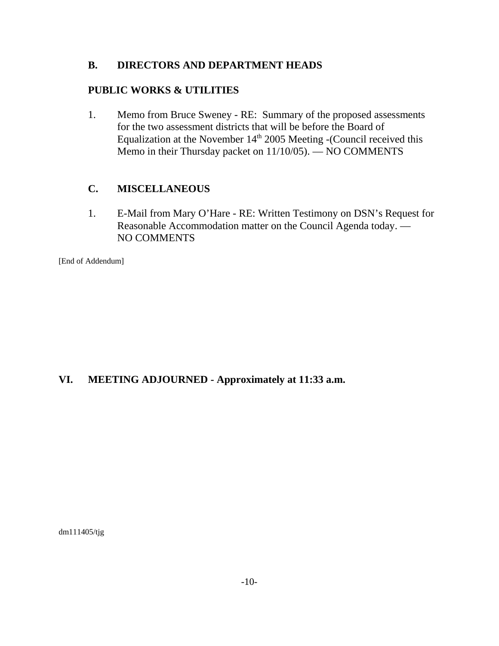### **B. DIRECTORS AND DEPARTMENT HEADS**

### **PUBLIC WORKS & UTILITIES**

1. Memo from Bruce Sweney - RE: Summary of the proposed assessments for the two assessment districts that will be before the Board of Equalization at the November 14<sup>th</sup> 2005 Meeting -(Council received this Memo in their Thursday packet on 11/10/05). — NO COMMENTS

## **C. MISCELLANEOUS**

1. E-Mail from Mary O'Hare - RE: Written Testimony on DSN's Request for Reasonable Accommodation matter on the Council Agenda today. — NO COMMENTS

[End of Addendum]

## **VI. MEETING ADJOURNED - Approximately at 11:33 a.m.**

dm111405/tjg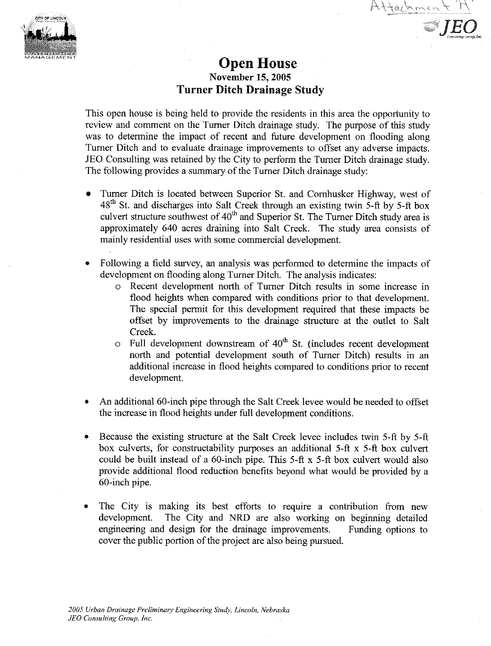

# **Open House** November 15, 2005 **Turner Ditch Drainage Study**

Attachmen

This open house is being held to provide the residents in this area the opportunity to review and comment on the Turner Ditch drainage study. The purpose of this study was to determine the impact of recent and future development on flooding along Turner Ditch and to evaluate drainage improvements to offset any adverse impacts. JEO Consulting was retained by the City to perform the Turner Ditch drainage study. The following provides a summary of the Turner Ditch drainage study:

- Turner Ditch is located between Superior St. and Cornhusker Highway, west of 48<sup>th</sup> St. and discharges into Salt Creek through an existing twin 5-ft by 5-ft box culvert structure southwest of 40<sup>th</sup> and Superior St. The Turner Ditch study area is approximately 640 acres draining into Salt Creek. The study area consists of mainly residential uses with some commercial development.
- Following a field survey, an analysis was performed to determine the impacts of development on flooding along Turner Ditch. The analysis indicates:
	- Recent development north of Turner Ditch results in some increase in  $\Omega$ flood heights when compared with conditions prior to that development. The special permit for this development required that these impacts be offset by improvements to the drainage structure at the outlet to Salt Creek.
	- Full development downstream of 40<sup>th</sup> St. (includes recent development  $\circ$ north and potential development south of Turner Ditch) results in an additional increase in flood heights compared to conditions prior to recent development.
- An additional 60-inch pipe through the Salt Creek levee would be needed to offset the increase in flood heights under full development conditions.
- Because the existing structure at the Salt Creek level includes twin 5-ft by 5-ft box culverts, for constructability purposes an additional 5-ft x 5-ft box culvert could be built instead of a 60-inch pipe. This 5-ft x 5-ft box culvert would also provide additional flood reduction benefits beyond what would be provided by a 60-inch pipe.
- The City is making its best efforts to require a contribution from new development. The City and NRD are also working on beginning detailed engineering and design for the drainage improvements. Funding options to cover the public portion of the project are also being pursued.